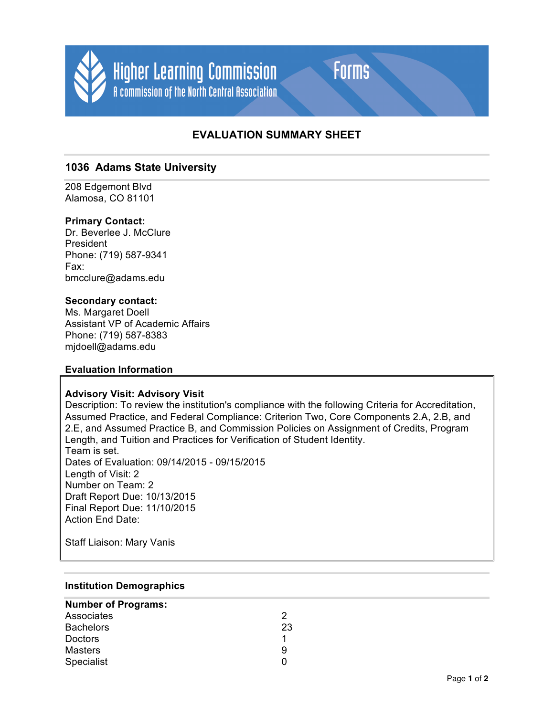

# **EVALUATION SUMMARY SHEET**

Forms

# **1036 Adams State University**

208 Edgemont Blvd Alamosa, CO 81101

# **Primary Contact:**

Dr. Beverlee J. McClure President Phone: (719) 587-9341 Fax: bmcclure@adams.edu

### **Secondary contact:**

Ms. Margaret Doell Assistant VP of Academic Affairs Phone: (719) 587-8383 mjdoell@adams.edu

### **Evaluation Information**

### **Advisory Visit: Advisory Visit**

Description: To review the institution's compliance with the following Criteria for Accreditation, Assumed Practice, and Federal Compliance: Criterion Two, Core Components 2.A, 2.B, and 2.E, and Assumed Practice B, and Commission Policies on Assignment of Credits, Program Length, and Tuition and Practices for Verification of Student Identity. Team is set. Dates of Evaluation: 09/14/2015 - 09/15/2015 Length of Visit: 2 Number on Team: 2 Draft Report Due: 10/13/2015 Final Report Due: 11/10/2015 Action End Date:

Staff Liaison: Mary Vanis

### **Institution Demographics**

| <b>Number of Programs:</b> |    |
|----------------------------|----|
| Associates                 |    |
| <b>Bachelors</b>           | 23 |
| <b>Doctors</b>             |    |
| <b>Masters</b>             | 9  |
| Specialist                 | n  |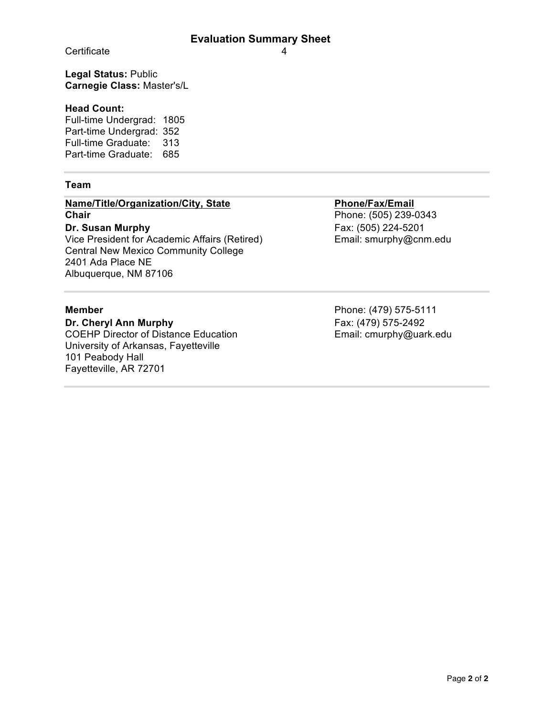Certificate 4

**Legal Status:** Public **Carnegie Class:** Master's/L

# **Head Count:**

Full-time Undergrad: 1805 Part-time Undergrad: 352 Full-time Graduate: 313 Part-time Graduate: 685

# **Team**

# **Name/Title/Organization/City, State Phone/Fax/Email**<br> **Chair** Phone: (505) 239-0

Vice President for Academic Affairs (Retired) Central New Mexico Community College 2401 Ada Place NE Albuquerque, NM 87106

**Dr. Cheryl Ann Murphy Fax: (479) 575-2492** COEHP Director of Distance Education University of Arkansas, Fayetteville 101 Peabody Hall Fayetteville, AR 72701

**Chair** Phone: (505) 239-0343 **Dr. Susan Murphy Ex. (505)** 224-5201 Email: smurphy@cnm.edu

**Member** Phone: (479) 575-5111 Email: cmurphy@uark.edu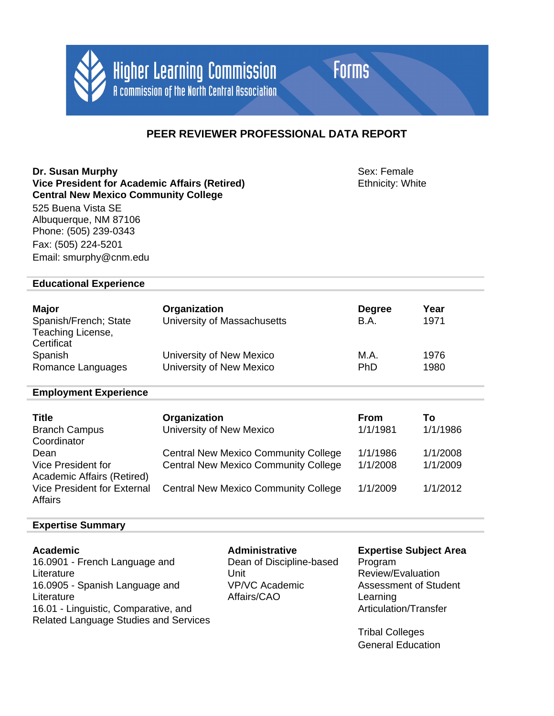

**Forms** 

# **PEER REVIEWER PROFESSIONAL DATA REPORT**

**Dr. Susan Murphy**<br> **Vice President for Academic Affairs (Retired)** Sex: Female Ethnicity: White **Vice President for Academic Affairs (Retired) Central New Mexico Community College**

525 Buena Vista SE Albuquerque, NM 87106 Phone: (505) 239-0343 Fax: (505) 224-5201 Email: smurphy@cnm.edu

# **Educational Experience**

| <b>Major</b><br>Spanish/French; State<br>Teaching License,<br>Certificat | Organization<br>University of Massachusetts | <b>Degree</b><br>B.A. | Year<br>1971 |
|--------------------------------------------------------------------------|---------------------------------------------|-----------------------|--------------|
| Spanish                                                                  | University of New Mexico                    | M.A.                  | 1976         |
| Romance Languages                                                        | University of New Mexico                    | <b>PhD</b>            | 1980         |

# **Employment Experience**

| <b>Title</b><br><b>Branch Campus</b><br>Coordinator                         | Organization<br>University of New Mexico                                                   | <b>From</b><br>1/1/1981 | Τo<br>1/1/1986       |
|-----------------------------------------------------------------------------|--------------------------------------------------------------------------------------------|-------------------------|----------------------|
| Dean<br>Vice President for                                                  | <b>Central New Mexico Community College</b><br><b>Central New Mexico Community College</b> | 1/1/1986<br>1/1/2008    | 1/1/2008<br>1/1/2009 |
| Academic Affairs (Retired)<br><b>Vice President for External</b><br>Affairs | <b>Central New Mexico Community College</b>                                                | 1/1/2009                | 1/1/2012             |

# **Expertise Summary**

| <b>Academic</b>                              | <b>Administrative</b>    | <b>Expertise Subject Area</b> |
|----------------------------------------------|--------------------------|-------------------------------|
| 16.0901 - French Language and                | Dean of Discipline-based | Program                       |
| Literature                                   | Unit                     | Review/Evaluation             |
| 16.0905 - Spanish Language and               | VP/VC Academic           | <b>Assessment of Student</b>  |
| Literature                                   | Affairs/CAO              | Learning                      |
| 16.01 - Linguistic, Comparative, and         |                          | Articulation/Transfer         |
| <b>Related Language Studies and Services</b> |                          |                               |
|                                              |                          |                               |

Tribal Colleges General Education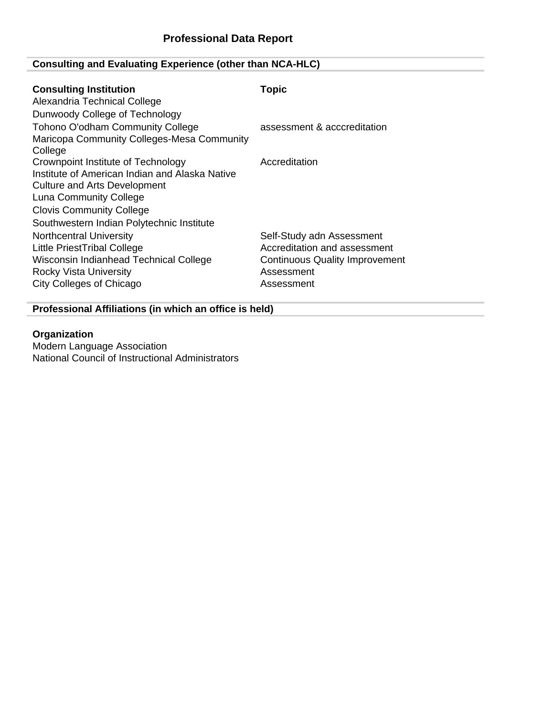# **Consulting and Evaluating Experience (other than NCA-HLC)**

| <b>Consulting Institution</b><br>Alexandria Technical College<br>Dunwoody College of Technology                                                                                                                                | <b>Topic</b>                                                                                                                   |
|--------------------------------------------------------------------------------------------------------------------------------------------------------------------------------------------------------------------------------|--------------------------------------------------------------------------------------------------------------------------------|
| <b>Tohono O'odham Community College</b><br>Maricopa Community Colleges-Mesa Community<br>College                                                                                                                               | assessment & acccreditation                                                                                                    |
| Crownpoint Institute of Technology<br>Institute of American Indian and Alaska Native<br>Culture and Arts Development<br>Luna Community College<br><b>Clovis Community College</b><br>Southwestern Indian Polytechnic Institute | Accreditation                                                                                                                  |
| <b>Northcentral University</b><br>Little PriestTribal College<br>Wisconsin Indianhead Technical College<br><b>Rocky Vista University</b><br>City Colleges of Chicago                                                           | Self-Study adn Assessment<br>Accreditation and assessment<br><b>Continuous Quality Improvement</b><br>Assessment<br>Assessment |

**Professional Affiliations (in which an office is held)**

# **Organization**

Modern Language Association National Council of Instructional Administrators